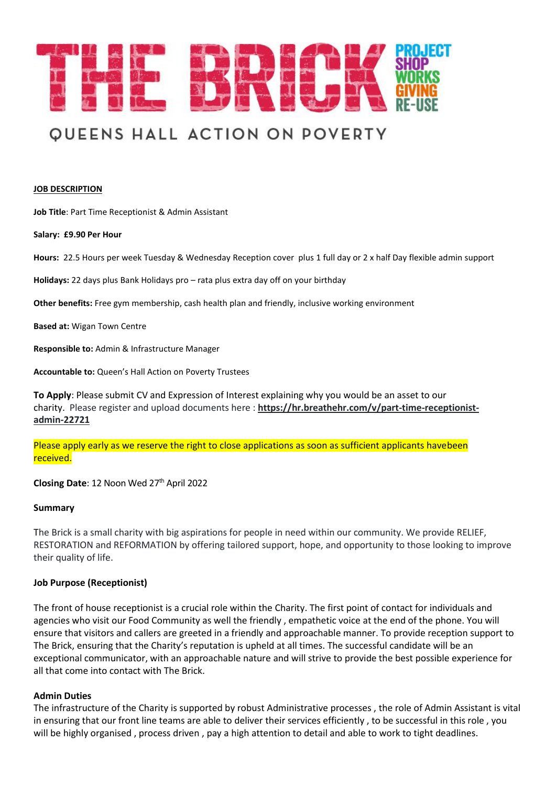

# **QUEENS HALL ACTION ON POVERTY**

#### **JOB DESCRIPTION**

**Job Title**: Part Time Receptionist & Admin Assistant

**Salary: £9.90 Per Hour**

**Hours:** 22.5 Hours per week Tuesday & Wednesday Reception cover plus 1 full day or 2 x half Day flexible admin support

**Holidays:** 22 days plus Bank Holidays pro – rata plus extra day off on your birthday

**Other benefits:** Free gym membership, cash health plan and friendly, inclusive working environment

**Based at:** Wigan Town Centre

**Responsible to:** Admin & Infrastructure Manager

**Accountable to:** Queen's Hall Action on Poverty Trustees

**To Apply**: Please submit CV and Expression of Interest explaining why you would be an asset to our charity. Please register and upload documents here : **https://hr.breathehr.com/v/part-time-receptionistadmin-22721**

Please apply early as we reserve the right to close applications as soon as sufficient applicants havebeen received.

**Closing Date**: 12 Noon Wed 27th April 2022

#### **Summary**

The Brick is a small charity with big aspirations for people in need within our community. We provide RELIEF, RESTORATION and REFORMATION by offering tailored support, hope, and opportunity to those looking to improve their quality of life.

#### **Job Purpose (Receptionist)**

The front of house receptionist is a crucial role within the Charity. The first point of contact for individuals and agencies who visit our Food Community as well the friendly , empathetic voice at the end of the phone. You will ensure that visitors and callers are greeted in a friendly and approachable manner. To provide reception support to The Brick, ensuring that the Charity's reputation is upheld at all times. The successful candidate will be an exceptional communicator, with an approachable nature and will strive to provide the best possible experience for all that come into contact with The Brick.

#### **Admin Duties**

The infrastructure of the Charity is supported by robust Administrative processes , the role of Admin Assistant is vital in ensuring that our front line teams are able to deliver their services efficiently , to be successful in this role , you will be highly organised , process driven , pay a high attention to detail and able to work to tight deadlines.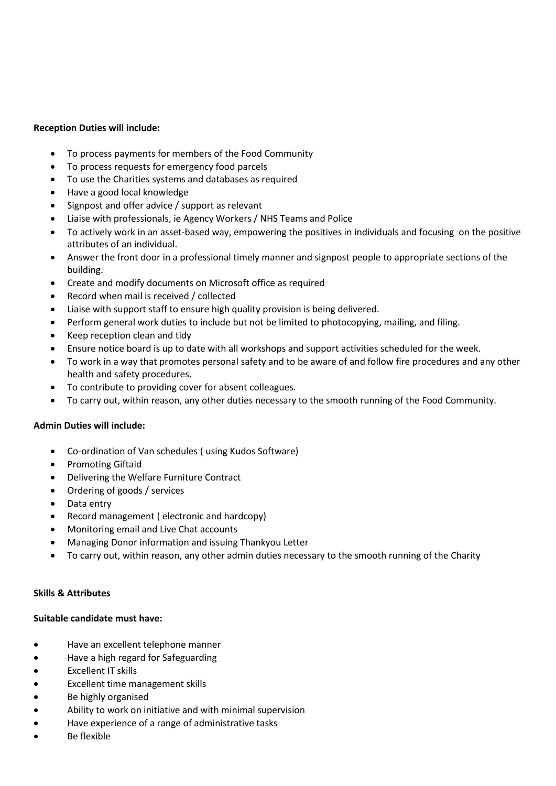# **Reception Duties will include:**

- To process payments for members of the Food Community
- To process requests for emergency food parcels
- To use the Charities systems and databases as required
- Have a good local knowledge
- Signpost and offer advice / support as relevant
- Liaise with professionals, ie Agency Workers / NHS Teams and Police
- To actively work in an asset-based way, empowering the positives in individuals and focusing on the positive attributes of an individual.
- Answer the front door in a professional timely manner and signpost people to appropriate sections of the building.
- Create and modify documents on Microsoft office as required
- Record when mail is received / collected
- Liaise with support staff to ensure high quality provision is being delivered.
- Perform general work duties to include but not be limited to photocopying, mailing, and filing.
- Keep reception clean and tidy
- Ensure notice board is up to date with all workshops and support activities scheduled for the week.
- To work in a way that promotes personal safety and to be aware of and follow fire procedures and any other health and safety procedures.
- To contribute to providing cover for absent colleagues.
- To carry out, within reason, any other duties necessary to the smooth running of the Food Community.

## **Admin Duties will include:**

- Co-ordination of Van schedules ( using Kudos Software)
- Promoting Giftaid
- Delivering the Welfare Furniture Contract
- Ordering of goods / services
- Data entry
- Record management ( electronic and hardcopy)
- Monitoring email and Live Chat accounts
- Managing Donor information and issuing Thankyou Letter
- To carry out, within reason, any other admin duties necessary to the smooth running of the Charity

## **Skills & Attributes**

## **Suitable candidate must have:**

- Have an excellent telephone manner
- Have a high regard for Safeguarding
- Excellent IT skills
- Excellent time management skills
- Be highly organised
- Ability to work on initiative and with minimal supervision
- Have experience of a range of administrative tasks
- Be flexible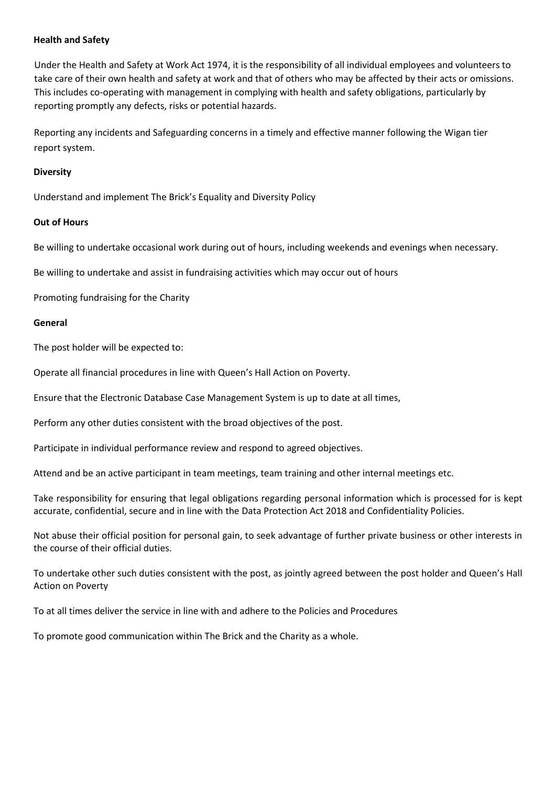## **Health and Safety**

Under the Health and Safety at Work Act 1974, it is the responsibility of all individual employees and volunteers to take care of their own health and safety at work and that of others who may be affected by their acts or omissions. This includes co-operating with management in complying with health and safety obligations, particularly by reporting promptly any defects, risks or potential hazards.

Reporting any incidents and Safeguarding concerns in a timely and effective manner following the Wigan tier report system.

## **Diversity**

Understand and implement The Brick's Equality and Diversity Policy

# **Out of Hours**

Be willing to undertake occasional work during out of hours, including weekends and evenings when necessary.

Be willing to undertake and assist in fundraising activities which may occur out of hours

Promoting fundraising for the Charity

# **General**

The post holder will be expected to:

Operate all financial procedures in line with Queen's Hall Action on Poverty.

Ensure that the Electronic Database Case Management System is up to date at all times,

Perform any other duties consistent with the broad objectives of the post.

Participate in individual performance review and respond to agreed objectives.

Attend and be an active participant in team meetings, team training and other internal meetings etc.

Take responsibility for ensuring that legal obligations regarding personal information which is processed for is kept accurate, confidential, secure and in line with the Data Protection Act 2018 and Confidentiality Policies.

Not abuse their official position for personal gain, to seek advantage of further private business or other interests in the course of their official duties.

To undertake other such duties consistent with the post, as jointly agreed between the post holder and Queen's Hall Action on Poverty

To at all times deliver the service in line with and adhere to the Policies and Procedures

To promote good communication within The Brick and the Charity as a whole.